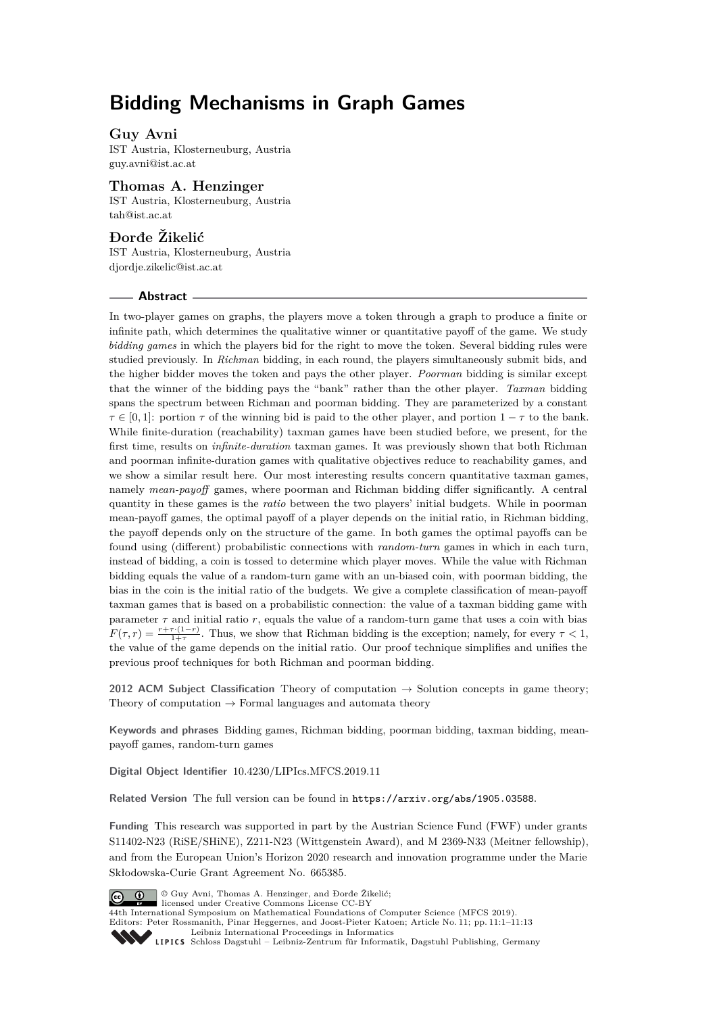# **Bidding Mechanisms in Graph Games**

## **Guy Avni**

IST Austria, Klosterneuburg, Austria [guy.avni@ist.ac.at](mailto:guy.avni@ist.ac.at)

# **Thomas A. Henzinger**

IST Austria, Klosterneuburg, Austria [tah@ist.ac.at](mailto:tah@ist.ac.at)

## **Ðorđe Žikelić**

IST Austria, Klosterneuburg, Austria [djordje.zikelic@ist.ac.at](mailto:djordje.zikelic@ist.ac.at)

## **Abstract**

In two-player games on graphs, the players move a token through a graph to produce a finite or infinite path, which determines the qualitative winner or quantitative payoff of the game. We study *bidding games* in which the players bid for the right to move the token. Several bidding rules were studied previously. In *Richman* bidding, in each round, the players simultaneously submit bids, and the higher bidder moves the token and pays the other player. *Poorman* bidding is similar except that the winner of the bidding pays the "bank" rather than the other player. *Taxman* bidding spans the spectrum between Richman and poorman bidding. They are parameterized by a constant  $\tau \in [0, 1]$ : portion  $\tau$  of the winning bid is paid to the other player, and portion  $1 - \tau$  to the bank. While finite-duration (reachability) taxman games have been studied before, we present, for the first time, results on *infinite-duration* taxman games. It was previously shown that both Richman and poorman infinite-duration games with qualitative objectives reduce to reachability games, and we show a similar result here. Our most interesting results concern quantitative taxman games, namely *mean-payoff* games, where poorman and Richman bidding differ significantly. A central quantity in these games is the *ratio* between the two players' initial budgets. While in poorman mean-payoff games, the optimal payoff of a player depends on the initial ratio, in Richman bidding, the payoff depends only on the structure of the game. In both games the optimal payoffs can be found using (different) probabilistic connections with *random-turn* games in which in each turn, instead of bidding, a coin is tossed to determine which player moves. While the value with Richman bidding equals the value of a random-turn game with an un-biased coin, with poorman bidding, the bias in the coin is the initial ratio of the budgets. We give a complete classification of mean-payoff taxman games that is based on a probabilistic connection: the value of a taxman bidding game with parameter  $\tau$  and initial ratio  $r$ , equals the value of a random-turn game that uses a coin with bias  $F(\tau, r) = \frac{r + \tau \cdot (1 - r)}{1 + \tau}$ . Thus, we show that Richman bidding is the exception; namely, for every  $\tau < 1$ , the value of the game depends on the initial ratio. Our proof technique simplifies and unifies the previous proof techniques for both Richman and poorman bidding.

**2012 ACM Subject Classification** Theory of computation  $\rightarrow$  Solution concepts in game theory; Theory of computation  $\rightarrow$  Formal languages and automata theory

**Keywords and phrases** Bidding games, Richman bidding, poorman bidding, taxman bidding, meanpayoff games, random-turn games

**Digital Object Identifier** [10.4230/LIPIcs.MFCS.2019.11](https://doi.org/10.4230/LIPIcs.MFCS.2019.11)

**Related Version** The full version can be found in <https://arxiv.org/abs/1905.03588>.

**Funding** This research was supported in part by the Austrian Science Fund (FWF) under grants S11402-N23 (RiSE/SHiNE), Z211-N23 (Wittgenstein Award), and M 2369-N33 (Meitner fellowship), and from the European Union's Horizon 2020 research and innovation programme under the Marie Skłodowska-Curie Grant Agreement No. 665385.



**C i**  $\bigcirc$  **G**  $\bigcirc$  Guy Avni, Thomas A. Henzinger, and Đorđe Žikelić:

licensed under Creative Commons License CC-BY 44th International Symposium on Mathematical Foundations of Computer Science (MFCS 2019). Editors: Peter Rossmanith, Pinar Heggernes, and Joost-Pieter Katoen; Article No. 11; pp. 11:1–11[:13](#page-12-0)

[Leibniz International Proceedings in Informatics](https://www.dagstuhl.de/lipics/)

[Schloss Dagstuhl – Leibniz-Zentrum für Informatik, Dagstuhl Publishing, Germany](https://www.dagstuhl.de)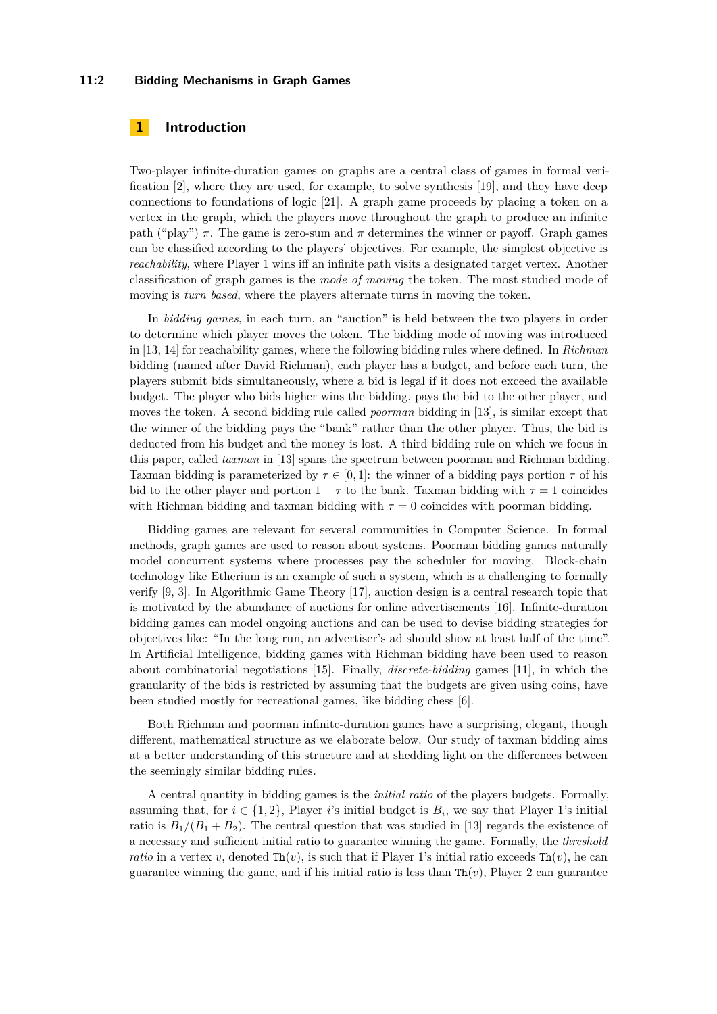### **11:2 Bidding Mechanisms in Graph Games**

## **1 Introduction**

Two-player infinite-duration games on graphs are a central class of games in formal verification [\[2\]](#page-11-0), where they are used, for example, to solve synthesis [\[19\]](#page-12-1), and they have deep connections to foundations of logic [\[21\]](#page-12-2). A graph game proceeds by placing a token on a vertex in the graph, which the players move throughout the graph to produce an infinite path ("play")  $\pi$ . The game is zero-sum and  $\pi$  determines the winner or payoff. Graph games can be classified according to the players' objectives. For example, the simplest objective is *reachability*, where Player 1 wins iff an infinite path visits a designated target vertex. Another classification of graph games is the *mode of moving* the token. The most studied mode of moving is *turn based*, where the players alternate turns in moving the token.

In *bidding games*, in each turn, an "auction" is held between the two players in order to determine which player moves the token. The bidding mode of moving was introduced in [\[13,](#page-12-3) [14\]](#page-12-4) for reachability games, where the following bidding rules where defined. In *Richman* bidding (named after David Richman), each player has a budget, and before each turn, the players submit bids simultaneously, where a bid is legal if it does not exceed the available budget. The player who bids higher wins the bidding, pays the bid to the other player, and moves the token. A second bidding rule called *poorman* bidding in [\[13\]](#page-12-3), is similar except that the winner of the bidding pays the "bank" rather than the other player. Thus, the bid is deducted from his budget and the money is lost. A third bidding rule on which we focus in this paper, called *taxman* in [\[13\]](#page-12-3) spans the spectrum between poorman and Richman bidding. Taxman bidding is parameterized by  $\tau \in [0, 1]$ : the winner of a bidding pays portion  $\tau$  of his bid to the other player and portion  $1 - \tau$  to the bank. Taxman bidding with  $\tau = 1$  coincides with Richman bidding and taxman bidding with  $\tau = 0$  coincides with poorman bidding.

Bidding games are relevant for several communities in Computer Science. In formal methods, graph games are used to reason about systems. Poorman bidding games naturally model concurrent systems where processes pay the scheduler for moving. Block-chain technology like Etherium is an example of such a system, which is a challenging to formally verify [\[9,](#page-12-5) [3\]](#page-11-1). In Algorithmic Game Theory [\[17\]](#page-12-6), auction design is a central research topic that is motivated by the abundance of auctions for online advertisements [\[16\]](#page-12-7). Infinite-duration bidding games can model ongoing auctions and can be used to devise bidding strategies for objectives like: "In the long run, an advertiser's ad should show at least half of the time". In Artificial Intelligence, bidding games with Richman bidding have been used to reason about combinatorial negotiations [\[15\]](#page-12-8). Finally, *discrete-bidding* games [\[11\]](#page-12-9), in which the granularity of the bids is restricted by assuming that the budgets are given using coins, have been studied mostly for recreational games, like bidding chess [\[6\]](#page-12-10).

Both Richman and poorman infinite-duration games have a surprising, elegant, though different, mathematical structure as we elaborate below. Our study of taxman bidding aims at a better understanding of this structure and at shedding light on the differences between the seemingly similar bidding rules.

A central quantity in bidding games is the *initial ratio* of the players budgets. Formally, assuming that, for  $i \in \{1,2\}$ , Player *i*'s initial budget is  $B_i$ , we say that Player 1's initial ratio is  $B_1/(B_1 + B_2)$ . The central question that was studied in [\[13\]](#page-12-3) regards the existence of a necessary and sufficient initial ratio to guarantee winning the game. Formally, the *threshold ratio* in a vertex *v*, denoted  $\text{Th}(v)$ , is such that if Player 1's initial ratio exceeds  $\text{Th}(v)$ , he can guarantee winning the game, and if his initial ratio is less than  $\text{Th}(v)$ , Player 2 can guarantee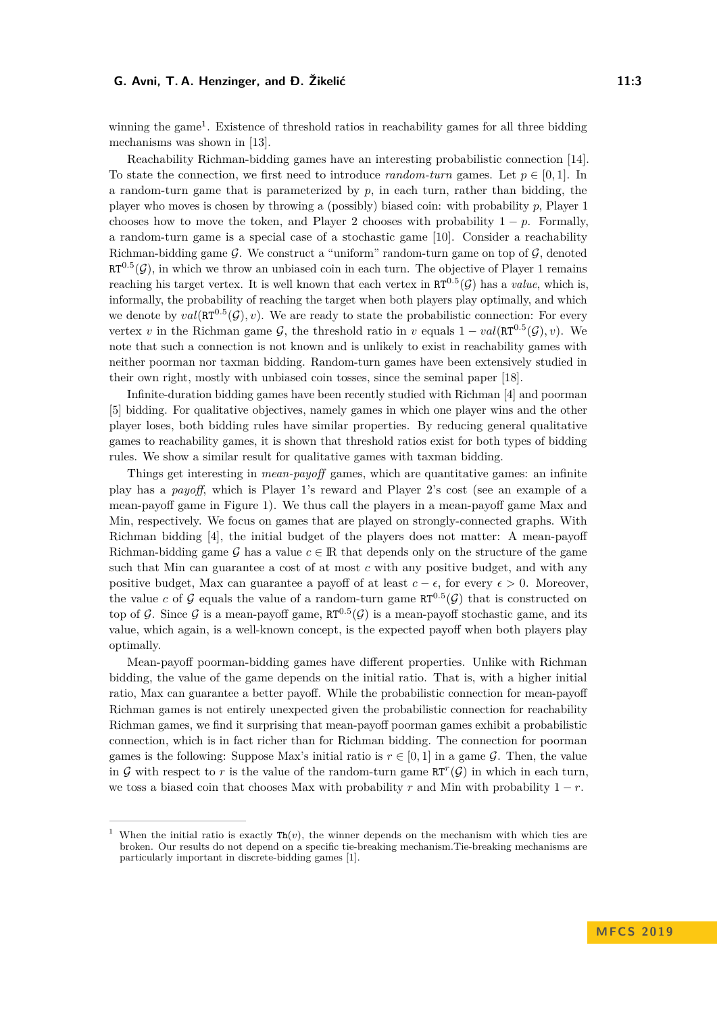winning the game<sup>[1](#page-2-0)</sup>. Existence of threshold ratios in reachability games for all three bidding mechanisms was shown in [\[13\]](#page-12-3).

Reachability Richman-bidding games have an interesting probabilistic connection [\[14\]](#page-12-4). To state the connection, we first need to introduce *random-turn* games. Let  $p \in [0,1]$ . In a random-turn game that is parameterized by *p*, in each turn, rather than bidding, the player who moves is chosen by throwing a (possibly) biased coin: with probability *p*, Player 1 chooses how to move the token, and Player 2 chooses with probability  $1 - p$ . Formally, a random-turn game is a special case of a stochastic game [\[10\]](#page-12-11). Consider a reachability Richman-bidding game  $\mathcal G$ . We construct a "uniform" random-turn game on top of  $\mathcal G$ , denoted  $RT^{0.5}(\mathcal{G})$ , in which we throw an unbiased coin in each turn. The objective of Player 1 remains reaching his target vertex. It is well known that each vertex in  $RT^{0.5}(\mathcal{G})$  has a *value*, which is, informally, the probability of reaching the target when both players play optimally, and which we denote by  $val(\text{RT}^{0.5}(\mathcal{G}), v)$ . We are ready to state the probabilistic connection: For every vertex *v* in the Richman game G, the threshold ratio in *v* equals  $1 - val(\mathbb{R}T^{0.5}(\mathcal{G}), v)$ . We note that such a connection is not known and is unlikely to exist in reachability games with neither poorman nor taxman bidding. Random-turn games have been extensively studied in their own right, mostly with unbiased coin tosses, since the seminal paper [\[18\]](#page-12-12).

Infinite-duration bidding games have been recently studied with Richman [\[4\]](#page-12-13) and poorman [\[5\]](#page-12-14) bidding. For qualitative objectives, namely games in which one player wins and the other player loses, both bidding rules have similar properties. By reducing general qualitative games to reachability games, it is shown that threshold ratios exist for both types of bidding rules. We show a similar result for qualitative games with taxman bidding.

Things get interesting in *mean-payoff* games, which are quantitative games: an infinite play has a *payoff*, which is Player 1's reward and Player 2's cost (see an example of a mean-payoff game in Figure [1\)](#page-3-0). We thus call the players in a mean-payoff game Max and Min, respectively. We focus on games that are played on strongly-connected graphs. With Richman bidding [\[4\]](#page-12-13), the initial budget of the players does not matter: A mean-payoff Richman-bidding game G has a value  $c \in \mathbb{R}$  that depends only on the structure of the game such that Min can guarantee a cost of at most *c* with any positive budget, and with any positive budget, Max can guarantee a payoff of at least  $c - \epsilon$ , for every  $\epsilon > 0$ . Moreover, the value *c* of G equals the value of a random-turn game  $RT^{0.5}(\mathcal{G})$  that is constructed on top of G. Since G is a mean-payoff game,  $RT^{0.5}(\mathcal{G})$  is a mean-payoff stochastic game, and its value, which again, is a well-known concept, is the expected payoff when both players play optimally.

Mean-payoff poorman-bidding games have different properties. Unlike with Richman bidding, the value of the game depends on the initial ratio. That is, with a higher initial ratio, Max can guarantee a better payoff. While the probabilistic connection for mean-payoff Richman games is not entirely unexpected given the probabilistic connection for reachability Richman games, we find it surprising that mean-payoff poorman games exhibit a probabilistic connection, which is in fact richer than for Richman bidding. The connection for poorman games is the following: Suppose Max's initial ratio is  $r \in [0, 1]$  in a game G. Then, the value in G with respect to r is the value of the random-turn game  $RT^r(G)$  in which in each turn, we toss a biased coin that chooses Max with probability *r* and Min with probability  $1 - r$ .

<span id="page-2-0"></span>When the initial ratio is exactly  $\text{Th}(v)$ , the winner depends on the mechanism with which ties are broken. Our results do not depend on a specific tie-breaking mechanism.Tie-breaking mechanisms are particularly important in discrete-bidding games [\[1\]](#page-11-2).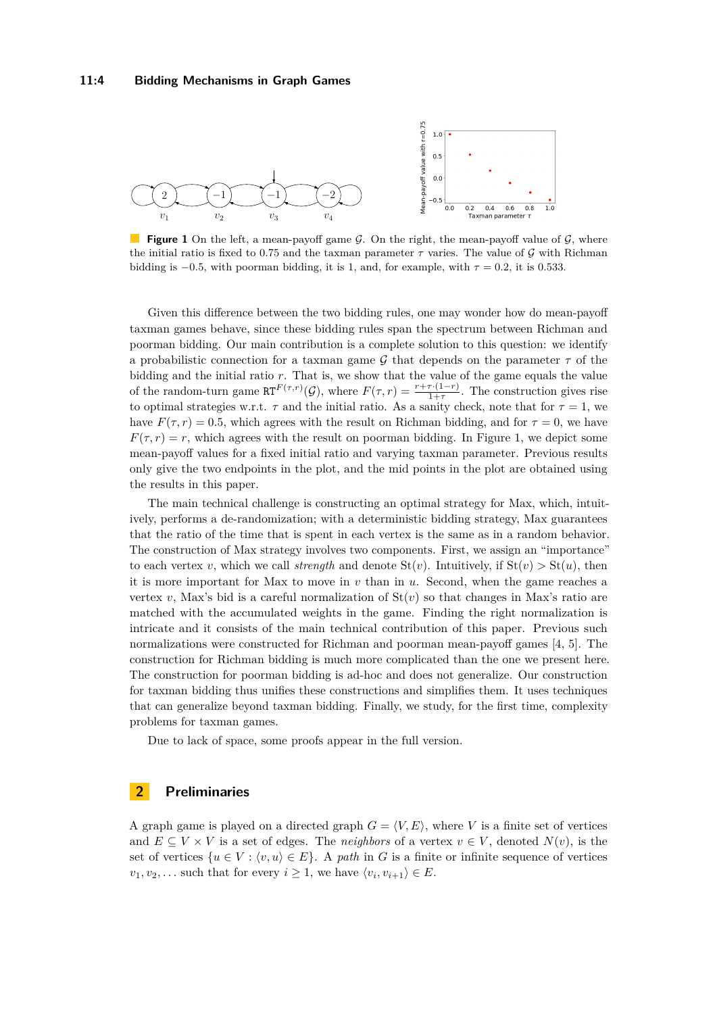<span id="page-3-0"></span>

**Figure 1** On the left, a mean-payoff game G. On the right, the mean-payoff value of G, where the initial ratio is fixed to 0.75 and the taxman parameter  $\tau$  varies. The value of  $\mathcal G$  with Richman bidding is  $-0.5$ , with poorman bidding, it is 1, and, for example, with  $\tau = 0.2$ , it is 0.533.

Given this difference between the two bidding rules, one may wonder how do mean-payoff taxman games behave, since these bidding rules span the spectrum between Richman and poorman bidding. Our main contribution is a complete solution to this question: we identify a probabilistic connection for a taxman game G that depends on the parameter  $\tau$  of the bidding and the initial ratio *r*. That is, we show that the value of the game equals the value of the random-turn game  $\mathbb{R}T^{F(\tau,r)}(\mathcal{G})$ , where  $F(\tau,r) = \frac{r+\tau\cdot(1-r)}{1+\tau}$ . The construction gives rise to optimal strategies w.r.t.  $\tau$  and the initial ratio. As a sanity check, note that for  $\tau = 1$ , we have  $F(\tau, r) = 0.5$ , which agrees with the result on Richman bidding, and for  $\tau = 0$ , we have  $F(\tau, r) = r$ , which agrees with the result on poorman bidding. In Figure [1,](#page-3-0) we depict some mean-payoff values for a fixed initial ratio and varying taxman parameter. Previous results only give the two endpoints in the plot, and the mid points in the plot are obtained using the results in this paper.

The main technical challenge is constructing an optimal strategy for Max, which, intuitively, performs a de-randomization; with a deterministic bidding strategy, Max guarantees that the ratio of the time that is spent in each vertex is the same as in a random behavior. The construction of Max strategy involves two components. First, we assign an "importance" to each vertex *v*, which we call *strength* and denote  $St(v)$ . Intuitively, if  $St(v) > St(u)$ , then it is more important for Max to move in *v* than in *u*. Second, when the game reaches a vertex *v*, Max's bid is a careful normalization of  $St(v)$  so that changes in Max's ratio are matched with the accumulated weights in the game. Finding the right normalization is intricate and it consists of the main technical contribution of this paper. Previous such normalizations were constructed for Richman and poorman mean-payoff games [\[4,](#page-12-13) [5\]](#page-12-14). The construction for Richman bidding is much more complicated than the one we present here. The construction for poorman bidding is ad-hoc and does not generalize. Our construction for taxman bidding thus unifies these constructions and simplifies them. It uses techniques that can generalize beyond taxman bidding. Finally, we study, for the first time, complexity problems for taxman games.

Due to lack of space, some proofs appear in the full version.

## **2 Preliminaries**

A graph game is played on a directed graph  $G = \langle V, E \rangle$ , where *V* is a finite set of vertices and  $E \subseteq V \times V$  is a set of edges. The *neighbors* of a vertex  $v \in V$ , denoted  $N(v)$ , is the set of vertices  $\{u \in V : \langle v, u \rangle \in E\}$ . A *path* in *G* is a finite or infinite sequence of vertices  $v_1, v_2, \ldots$  such that for every  $i \geq 1$ , we have  $\langle v_i, v_{i+1} \rangle \in E$ .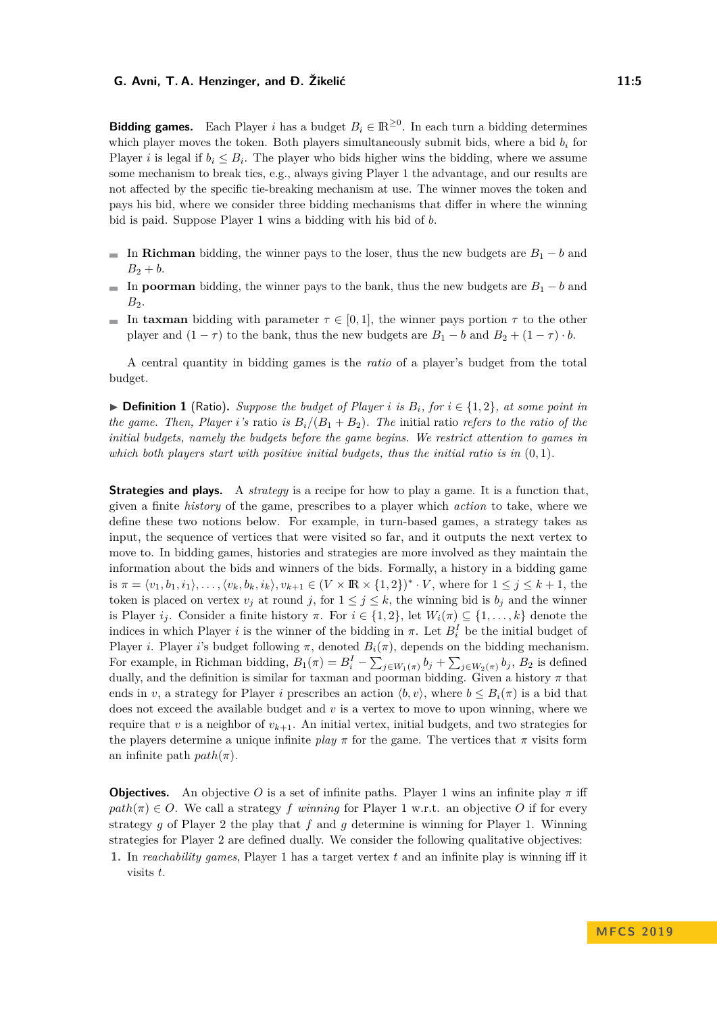**Bidding games.** Each Player *i* has a budget  $B_i \in \mathbb{R}^{\geq 0}$ . In each turn a bidding determines which player moves the token. Both players simultaneously submit bids, where a bid  $b_i$  for Player *i* is legal if  $b_i \leq B_i$ . The player who bids higher wins the bidding, where we assume some mechanism to break ties, e.g., always giving Player 1 the advantage, and our results are not affected by the specific tie-breaking mechanism at use. The winner moves the token and pays his bid, where we consider three bidding mechanisms that differ in where the winning bid is paid. Suppose Player 1 wins a bidding with his bid of *b*.

- In **Richman** bidding, the winner pays to the loser, thus the new budgets are  $B_1 b$  and  $\blacksquare$  $B_2 + b$ .
- In **poorman** bidding, the winner pays to the bank, thus the new budgets are  $B_1 b$  and  $B_2$ .
- In **taxman** bidding with parameter  $\tau \in [0, 1]$ , the winner pays portion  $\tau$  to the other player and  $(1 - \tau)$  to the bank, thus the new budgets are  $B_1 - b$  and  $B_2 + (1 - \tau) \cdot b$ .

A central quantity in bidding games is the *ratio* of a player's budget from the total budget.

▶ **Definition 1** (Ratio). Suppose the budget of Player *i* is  $B_i$ , for  $i \in \{1,2\}$ , at some point in *the game. Then, Player i*'s ratio *is*  $B_i/(B_1 + B_2)$ *. The initial ratio refers to the ratio of the initial budgets, namely the budgets before the game begins. We restrict attention to games in which both players start with positive initial budgets, thus the initial ratio is in* (0*,* 1)*.*

**Strategies and plays.** A *strategy* is a recipe for how to play a game. It is a function that, given a finite *history* of the game, prescribes to a player which *action* to take, where we define these two notions below. For example, in turn-based games, a strategy takes as input, the sequence of vertices that were visited so far, and it outputs the next vertex to move to. In bidding games, histories and strategies are more involved as they maintain the information about the bids and winners of the bids. Formally, a history in a bidding game is  $\pi = \langle v_1, b_1, i_1 \rangle, \ldots, \langle v_k, b_k, i_k \rangle, v_{k+1} \in (V \times \mathbb{R} \times \{1, 2\})^* \cdot V$ , where for  $1 \leq j \leq k+1$ , the token is placed on vertex  $v_j$  at round *j*, for  $1 \leq j \leq k$ , the winning bid is  $b_j$  and the winner is Player  $i_j$ . Consider a finite history  $\pi$ . For  $i \in \{1,2\}$ , let  $W_i(\pi) \subseteq \{1,\ldots,k\}$  denote the indices in which Player *i* is the winner of the bidding in  $\pi$ . Let  $B_i^I$  be the initial budget of Player *i*. Player *i*'s budget following  $\pi$ , denoted  $B_i(\pi)$ , depends on the bidding mechanism. For example, in Richman bidding,  $B_1(\pi) = B_i^I - \sum_{j \in W_1(\pi)} b_j + \sum_{j \in W_2(\pi)} b_j$ ,  $B_2$  is defined dually, and the definition is similar for taxman and poorman bidding. Given a history  $\pi$  that ends in *v*, a strategy for Player *i* prescribes an action  $\langle b, v \rangle$ , where  $b \leq B_i(\pi)$  is a bid that does not exceed the available budget and *v* is a vertex to move to upon winning, where we require that *v* is a neighbor of  $v_{k+1}$ . An initial vertex, initial budgets, and two strategies for the players determine a unique infinite *play*  $\pi$  for the game. The vertices that  $\pi$  visits form an infinite path  $path(\pi)$ .

**Objectives.** An objective *O* is a set of infinite paths. Player 1 wins an infinite play  $\pi$  iff  $path(\pi) \in O$ . We call a strategy *f* winning for Player 1 w.r.t. an objective *O* if for every strategy *g* of Player 2 the play that *f* and *g* determine is winning for Player 1. Winning strategies for Player 2 are defined dually. We consider the following qualitative objectives:

**1.** In *reachability games*, Player 1 has a target vertex *t* and an infinite play is winning iff it visits *t*.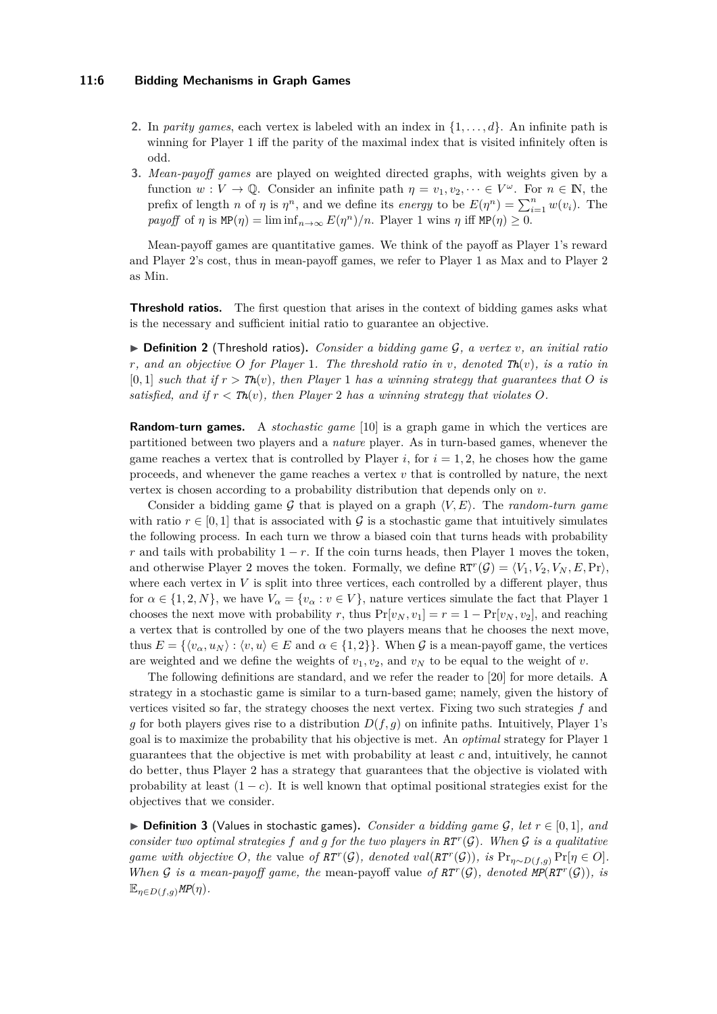#### **11:6 Bidding Mechanisms in Graph Games**

- **2.** In *parity games*, each vertex is labeled with an index in  $\{1, \ldots, d\}$ . An infinite path is winning for Player 1 iff the parity of the maximal index that is visited infinitely often is odd.
- **3.** *Mean-payoff games* are played on weighted directed graphs, with weights given by a function  $w: V \to \mathbb{Q}$ . Consider an infinite path  $\eta = v_1, v_2, \dots \in V^\omega$ . For  $n \in \mathbb{N}$ , the prefix of length *n* of *η* is  $\eta^n$ , and we define its *energy* to be  $E(\eta^n) = \sum_{i=1}^n w(v_i)$ . The *payoff* of  $\eta$  is  $MP(\eta) = \liminf_{n \to \infty} E(\eta^n)/n$ . Player 1 wins  $\eta$  iff  $MP(\eta) \geq 0$ .

Mean-payoff games are quantitative games. We think of the payoff as Player 1's reward and Player 2's cost, thus in mean-payoff games, we refer to Player 1 as Max and to Player 2 as Min.

**Threshold ratios.** The first question that arises in the context of bidding games asks what is the necessary and sufficient initial ratio to guarantee an objective.

 $\triangleright$  **Definition 2** (Threshold ratios). *Consider a bidding game G, a vertex v, an initial ratio r, and an objective O for Player* 1*. The threshold ratio in v, denoted*  $\text{Th}(v)$ *, is a ratio in*  $[0,1]$  *such that if*  $r > Th(v)$ *, then Player* 1 *has a winning strategy that guarantees that* O *is satisfied, and if*  $r < Th(v)$ *, then Player* 2 *has a winning strategy that violates O.* 

**Random-turn games.** A *stochastic game* [\[10\]](#page-12-11) is a graph game in which the vertices are partitioned between two players and a *nature* player. As in turn-based games, whenever the game reaches a vertex that is controlled by Player  $i$ , for  $i = 1, 2$ , he choses how the game proceeds, and whenever the game reaches a vertex *v* that is controlled by nature, the next vertex is chosen according to a probability distribution that depends only on *v*.

Consider a bidding game G that is played on a graph  $\langle V, E \rangle$ . The *random-turn game* with ratio  $r \in [0, 1]$  that is associated with G is a stochastic game that intuitively simulates the following process. In each turn we throw a biased coin that turns heads with probability *r* and tails with probability  $1 - r$ . If the coin turns heads, then Player 1 moves the token, and otherwise Player 2 moves the token. Formally, we define  $RT^r(\mathcal{G}) = \langle V_1, V_2, V_N, E, Pr \rangle$ , where each vertex in  $V$  is split into three vertices, each controlled by a different player, thus for  $\alpha \in \{1, 2, N\}$ , we have  $V_{\alpha} = \{v_{\alpha} : v \in V\}$ , nature vertices simulate the fact that Player 1 chooses the next move with probability *r*, thus  $Pr[v_N, v_1] = r = 1 - Pr[v_N, v_2]$ , and reaching a vertex that is controlled by one of the two players means that he chooses the next move, thus  $E = \{ \langle v_\alpha, u_N \rangle : \langle v, u \rangle \in E \text{ and } \alpha \in \{1, 2\} \}.$  When G is a mean-payoff game, the vertices are weighted and we define the weights of  $v_1, v_2$ , and  $v_N$  to be equal to the weight of *v*.

The following definitions are standard, and we refer the reader to [\[20\]](#page-12-15) for more details. A strategy in a stochastic game is similar to a turn-based game; namely, given the history of vertices visited so far, the strategy chooses the next vertex. Fixing two such strategies *f* and *g* for both players gives rise to a distribution  $D(f, g)$  on infinite paths. Intuitively, Player 1's goal is to maximize the probability that his objective is met. An *optimal* strategy for Player 1 guarantees that the objective is met with probability at least *c* and, intuitively, he cannot do better, thus Player 2 has a strategy that guarantees that the objective is violated with probability at least  $(1 - c)$ . It is well known that optimal positional strategies exist for the objectives that we consider.

▶ **Definition 3** (Values in stochastic games). *Consider a bidding game G, let*  $r \in [0,1]$ *, and consider two optimal strategies*  $f$  *and*  $g$  *for the two players in*  $RT<sup>r</sup>(\mathcal{G})$ *. When*  $\mathcal{G}$  *is a qualitative game with objective O*, the value of  $RT^r(\mathcal{G})$ , denoted  $val(RT^r(\mathcal{G}))$ , is  $Pr_{\eta \sim D(f,g)} Pr[\eta \in O]$ . *When* G is a mean-payoff game, the mean-payoff value of  $RT^r(G)$ , denoted  $MP(RT^r(G))$ , is  $\mathbb{E}_{\eta \in D(f,q)} \textit{MP}(\eta)$ .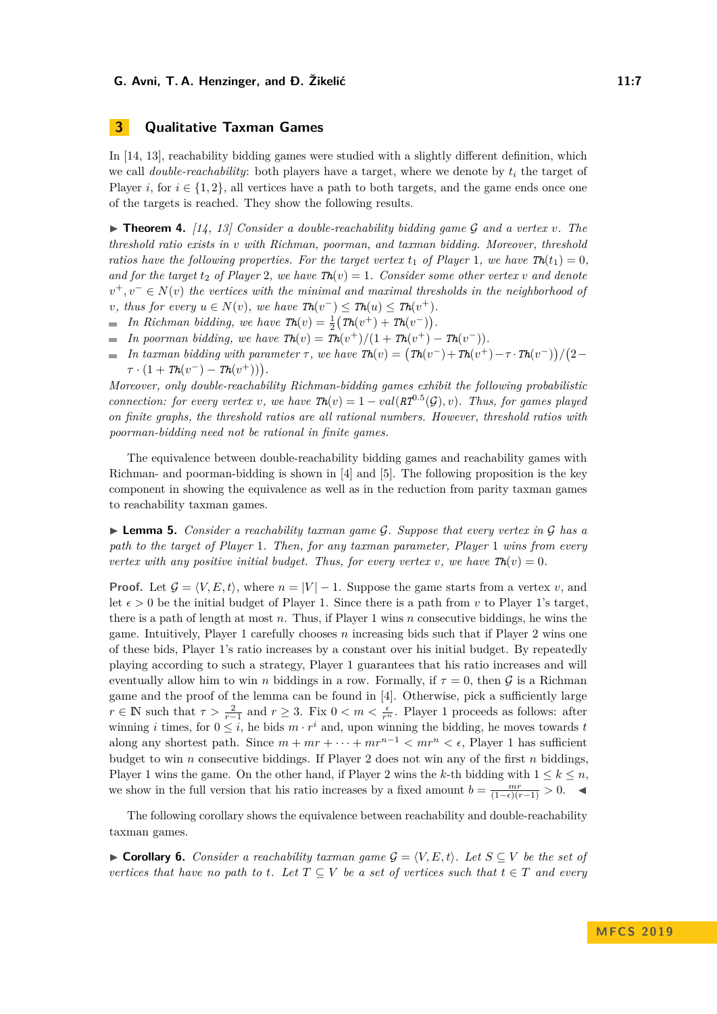# **3 Qualitative Taxman Games**

In [\[14,](#page-12-4) [13\]](#page-12-3), reachability bidding games were studied with a slightly different definition, which we call *double-reachability*: both players have a target, where we denote by  $t_i$  the target of Player *i*, for  $i \in \{1,2\}$ , all vertices have a path to both targets, and the game ends once one of the targets is reached. They show the following results.

 $\triangleright$  **Theorem 4.** [\[14,](#page-12-4) [13\]](#page-12-3) Consider a double-reachability bidding game G and a vertex v. The *threshold ratio exists in v with Richman, poorman, and taxman bidding. Moreover, threshold ratios have the following properties. For the target vertex*  $t_1$  *of Player* 1*, we have*  $\text{Th}(t_1) = 0$ *, and for the target*  $t_2$  *of Player* 2*, we have*  $\text{Th}(v) = 1$ *. Consider some other vertex v and denote*  $v^+, v^- \in N(v)$  *the vertices with the minimal and maximal thresholds in the neighborhood of v, thus for every*  $u \in N(v)$ *, we have*  $\text{Th}(v^-) \leq \text{Th}(u) \leq \text{Th}(v^+)$ *.* 

- *In Richman bidding, we have*  $\text{Th}(v) = \frac{1}{2} (\text{Th}(v^+) + \text{Th}(v^-))$ .
- *In poorman bidding, we have*  $\text{Th}(v) = \text{Th}(v^+)/(1 + \text{Th}(v^+) \text{Th}(v^-)).$
- *In taxman bidding with parameter*  $\tau$ , we have  $\mathit{Th}(v) = (\mathit{Th}(v^-) + \mathit{Th}(v^+) \tau \cdot \mathit{Th}(v^-)) / (2 \tau \cdot \mathit{Th}(v^-) \tau \cdot \mathit{Th}(v^-))$  $\sim$  $\tau \cdot (1 + Th(v^-) - Th(v^+)))$ .

*Moreover, only double-reachability Richman-bidding games exhibit the following probabilistic connection: for every vertex v,* we have  $\text{Th}(v) = 1 - val(RT^{0.5}(G), v)$ . Thus, for games played *on finite graphs, the threshold ratios are all rational numbers. However, threshold ratios with poorman-bidding need not be rational in finite games.*

The equivalence between double-reachability bidding games and reachability games with Richman- and poorman-bidding is shown in [\[4\]](#page-12-13) and [\[5\]](#page-12-14). The following proposition is the key component in showing the equivalence as well as in the reduction from parity taxman games to reachability taxman games.

<span id="page-6-0"></span>► **Lemma 5.** *Consider a reachability taxman game G. Suppose that every vertex in* G *has a path to the target of Player* 1*. Then, for any taxman parameter, Player* 1 *wins from every vertex with any positive initial budget. Thus, for every vertex v, we have*  $\text{Th}(v) = 0$ .

**Proof.** Let  $\mathcal{G} = \langle V, E, t \rangle$ , where  $n = |V| - 1$ . Suppose the game starts from a vertex *v*, and let  $\epsilon > 0$  be the initial budget of Player 1. Since there is a path from *v* to Player 1's target, there is a path of length at most *n*. Thus, if Player 1 wins *n* consecutive biddings, he wins the game. Intuitively, Player 1 carefully chooses *n* increasing bids such that if Player 2 wins one of these bids, Player 1's ratio increases by a constant over his initial budget. By repeatedly playing according to such a strategy, Player 1 guarantees that his ratio increases and will eventually allow him to win *n* biddings in a row. Formally, if  $\tau = 0$ , then G is a Richman game and the proof of the lemma can be found in [\[4\]](#page-12-13). Otherwise, pick a sufficiently large  $r \in \mathbb{N}$  such that  $\tau > \frac{2}{r-1}$  and  $r \geq 3$ . Fix  $0 < m < \frac{\epsilon}{r^n}$ . Player 1 proceeds as follows: after winning *i* times, for  $0 \leq i$ , he bids  $m \cdot r^i$  and, upon winning the bidding, he moves towards *t* along any shortest path. Since  $m + mr + \cdots + mr^{n-1} < mr^n < \epsilon$ , Player 1 has sufficient budget to win *n* consecutive biddings. If Player 2 does not win any of the first *n* biddings, Player 1 wins the game. On the other hand, if Player 2 wins the *k*-th bidding with  $1 \leq k \leq n$ , we show in the full version that his ratio increases by a fixed amount  $b = \frac{mr}{(1-\epsilon)(r-1)} > 0$ .

The following corollary shows the equivalence between reachability and double-reachability taxman games.

► **Corollary 6.** *Consider a reachability taxman game*  $\mathcal{G} = \langle V, E, t \rangle$ *. Let*  $S \subseteq V$  *be the set of vertices that have no path to t. Let*  $T \subseteq V$  *be a set of vertices such that*  $t \in T$  *and every*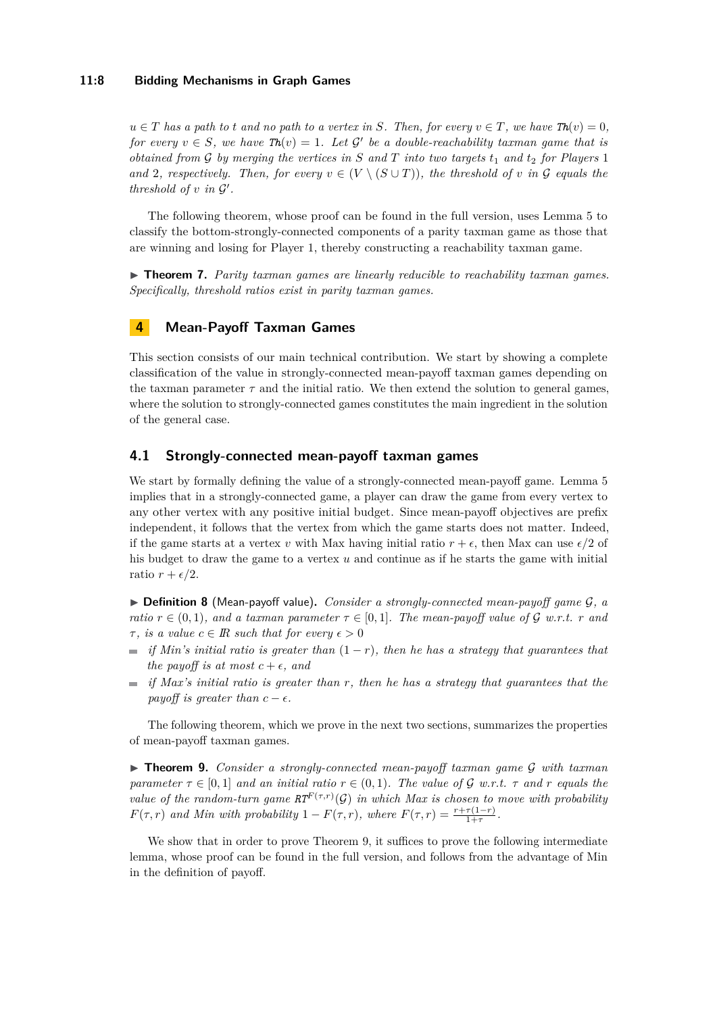#### **11:8 Bidding Mechanisms in Graph Games**

 $u \in T$  *has a path to t and no path to a vertex in S. Then, for every*  $v \in T$ *, we have*  $Th(v) = 0$ *, for every*  $v \in S$ , we have  $\text{Th}(v) = 1$ . Let  $\mathcal{G}'$  be a double-reachability taxman game that is *obtained from*  $G$  *by merging the vertices in*  $S$  *and*  $T$  *into two targets*  $t_1$  *and*  $t_2$  *for Players* 1 *and* 2*, respectively. Then, for every*  $v \in (V \setminus (S \cup T))$ , the threshold of v in G equals the *threshold of*  $v$  *in*  $\mathcal{G}'$ *.* 

The following theorem, whose proof can be found in the full version, uses Lemma [5](#page-6-0) to classify the bottom-strongly-connected components of a parity taxman game as those that are winning and losing for Player 1, thereby constructing a reachability taxman game.

▶ **Theorem 7.** *Parity taxman games are linearly reducible to reachability taxman games. Specifically, threshold ratios exist in parity taxman games.*

## **4 Mean-Payoff Taxman Games**

This section consists of our main technical contribution. We start by showing a complete classification of the value in strongly-connected mean-payoff taxman games depending on the taxman parameter  $\tau$  and the initial ratio. We then extend the solution to general games, where the solution to strongly-connected games constitutes the main ingredient in the solution of the general case.

## **4.1 Strongly-connected mean-payoff taxman games**

We start by formally defining the value of a strongly-connected mean-payoff game. Lemma [5](#page-6-0) implies that in a strongly-connected game, a player can draw the game from every vertex to any other vertex with any positive initial budget. Since mean-payoff objectives are prefix independent, it follows that the vertex from which the game starts does not matter. Indeed, if the game starts at a vertex *v* with Max having initial ratio  $r + \epsilon$ , then Max can use  $\epsilon/2$  of his budget to draw the game to a vertex *u* and continue as if he starts the game with initial ratio  $r + \epsilon/2$ .

I **Definition 8** (Mean-payoff value)**.** *Consider a strongly-connected mean-payoff game* G*, a ratio*  $r \in (0,1)$ *, and a taxman parameter*  $\tau \in [0,1]$ *. The mean-payoff value of*  $\mathcal{G}$  *w.r.t.*  $r$  *and τ*, *is a value*  $c \in \mathbb{R}$  *such that for every*  $\epsilon > 0$ 

- $\sim$ *if Min's initial ratio is greater than*  $(1 - r)$ *, then he has a strategy that guarantees that the payoff is at most*  $c + \epsilon$ *, and*
- *if Max's initial ratio is greater than r, then he has a strategy that guarantees that the payoff is greater than*  $c - \epsilon$ .

The following theorem, which we prove in the next two sections, summarizes the properties of mean-payoff taxman games.

<span id="page-7-0"></span>I **Theorem 9.** *Consider a strongly-connected mean-payoff taxman game* G *with taxman parameter*  $\tau \in [0, 1]$  *and an initial ratio*  $r \in (0, 1)$ *. The value of G w.r.t.*  $\tau$  *and*  $r$  *equals the value of the random-turn game*  $RT^F(\tau,r)(\mathcal{G})$  *in which Max is chosen to move with probability F*(*τ, r*) *and Min with probability*  $1 - F(\tau, r)$ *, where*  $F(\tau, r) = \frac{r + \tau(1-r)}{1+\tau}$ .

<span id="page-7-1"></span>We show that in order to prove Theorem [9,](#page-7-0) it suffices to prove the following intermediate lemma, whose proof can be found in the full version, and follows from the advantage of Min in the definition of payoff.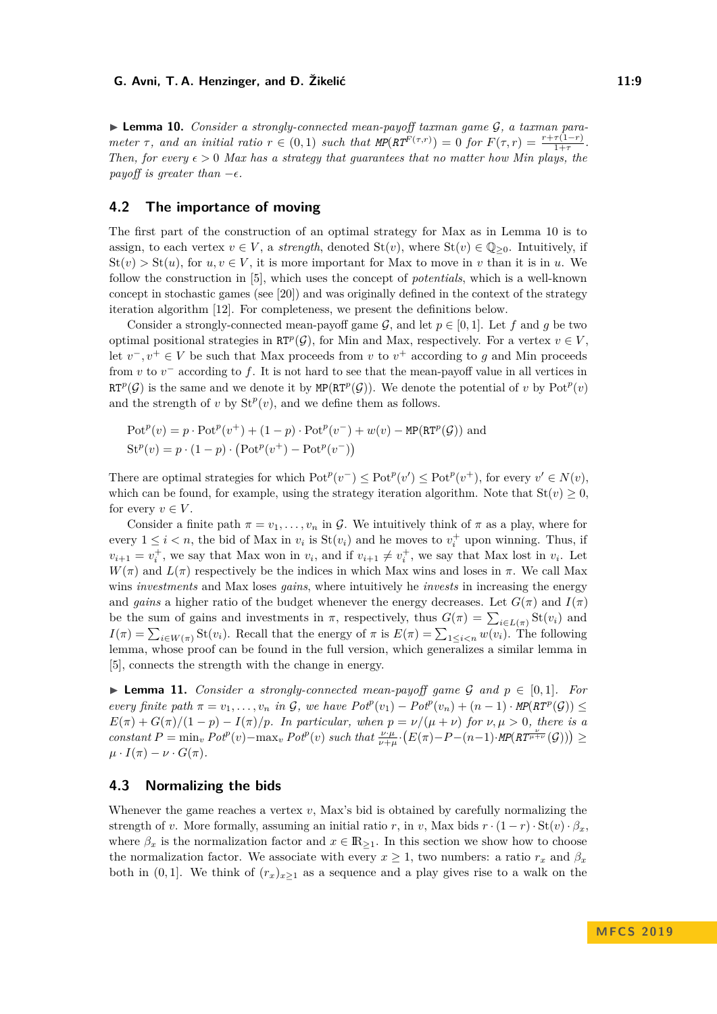► **Lemma 10.** *Consider a strongly-connected mean-payoff taxman game G, a taxman para*meter  $\tau$ , and an initial ratio  $r \in (0,1)$  such that  $MP(RT^{F(\tau,r)}) = 0$  for  $F(\tau,r) = \frac{r+\tau(1-r)}{1+\tau}$ . *Then, for every*  $\epsilon > 0$  *Max has a strategy that guarantees that no matter how Min plays, the payoff is greater than*  $-\epsilon$ .

## **4.2 The importance of moving**

The first part of the construction of an optimal strategy for Max as in Lemma [10](#page-7-1) is to assign, to each vertex  $v \in V$ , a *strength*, denoted  $St(v)$ , where  $St(v) \in \mathbb{Q}_{\geq 0}$ . Intuitively, if  $St(v) > St(u)$ , for  $u, v \in V$ , it is more important for Max to move in *v* than it is in *u*. We follow the construction in [\[5\]](#page-12-14), which uses the concept of *potentials*, which is a well-known concept in stochastic games (see [\[20\]](#page-12-15)) and was originally defined in the context of the strategy iteration algorithm [\[12\]](#page-12-16). For completeness, we present the definitions below.

Consider a strongly-connected mean-payoff game  $G$ , and let  $p \in [0, 1]$ . Let f and g be two optimal positional strategies in  $\mathbb{R}T^p(\mathcal{G})$ , for Min and Max, respectively. For a vertex  $v \in V$ , let  $v^-, v^+ \in V$  be such that Max proceeds from *v* to  $v^+$  according to *g* and Min proceeds from  $v$  to  $v^-$  according to  $f$ . It is not hard to see that the mean-payoff value in all vertices in RT<sup>p</sup>(G) is the same and we denote it by MP(RT<sup>p</sup>(G)). We denote the potential of *v* by  $Pot<sup>p</sup>(v)$ and the strength of *v* by  $St^p(v)$ , and we define them as follows.

$$
Potp(v) = p \cdot Potp(v+) + (1 - p) \cdot Potp(v-) + w(v) - MP(RTp(G))
$$
 and  

$$
Stp(v) = p \cdot (1 - p) \cdot (Potp(v+) - Potp(v-))
$$

There are optimal strategies for which  $Pot^p(v^-) \leq Pot^p(v') \leq Pot^p(v^+)$ , for every  $v' \in N(v)$ , which can be found, for example, using the strategy iteration algorithm. Note that  $St(v) \geq 0$ , for every  $v \in V$ .

Consider a finite path  $\pi = v_1, \ldots, v_n$  in G. We intuitively think of  $\pi$  as a play, where for every  $1 \leq i < n$ , the bid of Max in  $v_i$  is  $St(v_i)$  and he moves to  $v_i^+$  upon winning. Thus, if  $v_{i+1} = v_i^+$ , we say that Max won in  $v_i$ , and if  $v_{i+1} \neq v_i^+$ , we say that Max lost in  $v_i$ . Let  $W(\pi)$  and  $L(\pi)$  respectively be the indices in which Max wins and loses in  $\pi$ . We call Max wins *investments* and Max loses *gains*, where intuitively he *invests* in increasing the energy and *gains* a higher ratio of the budget whenever the energy decreases. Let  $G(\pi)$  and  $I(\pi)$ be the sum of gains and investments in  $\pi$ , respectively, thus  $G(\pi) = \sum_{i \in L(\pi)} \text{St}(v_i)$  and  $I(\pi) = \sum_{i \in W(\pi)} \text{St}(v_i)$ . Recall that the energy of  $\pi$  is  $E(\pi) = \sum_{1 \leq i < n} w(v_i)$ . The following lemma, whose proof can be found in the full version, which generalizes a similar lemma in [\[5\]](#page-12-14), connects the strength with the change in energy.

<span id="page-8-0"></span>▶ **Lemma 11.** *Consider a strongly-connected mean-payoff game*  $G$  *and*  $p \in [0,1]$ *. For every finite path*  $\pi = v_1, \ldots, v_n$  *in*  $\mathcal{G}$ *, we have*  $P \circ t^p(v_1) - P \circ t^p(v_n) + (n-1) \cdot \text{MP}(R T^p(\mathcal{G})) \le$  $E(\pi) + G(\pi)/(1-p) - I(\pi)/p$ *. In particular, when*  $p = \nu/(\mu + \nu)$  *for*  $\nu, \mu > 0$ *, there is a* constant  $P = \min_v Po^{t^p}(v) - \max_v Po^{t^p}(v)$  such that  $\frac{\nu \cdot \mu}{\nu + \mu} \cdot (E(\pi) - P - (n-1) \cdot \text{MP}(RT^{\frac{\nu}{\mu + \nu}}(\mathcal{G}))) \ge$  $\mu \cdot I(\pi) - \nu \cdot G(\pi)$ .

## **4.3 Normalizing the bids**

Whenever the game reaches a vertex *v*, Max's bid is obtained by carefully normalizing the strength of *v*. More formally, assuming an initial ratio *r*, in *v*, Max bids  $r \cdot (1 - r) \cdot \text{St}(v) \cdot \beta_x$ , where  $\beta_x$  is the normalization factor and  $x \in \mathbb{R}_{\geq 1}$ . In this section we show how to choose the normalization factor. We associate with every  $x \geq 1$ , two numbers: a ratio  $r_x$  and  $\beta_x$ both in  $(0,1]$ . We think of  $(r_x)_{x\geq 1}$  as a sequence and a play gives rise to a walk on the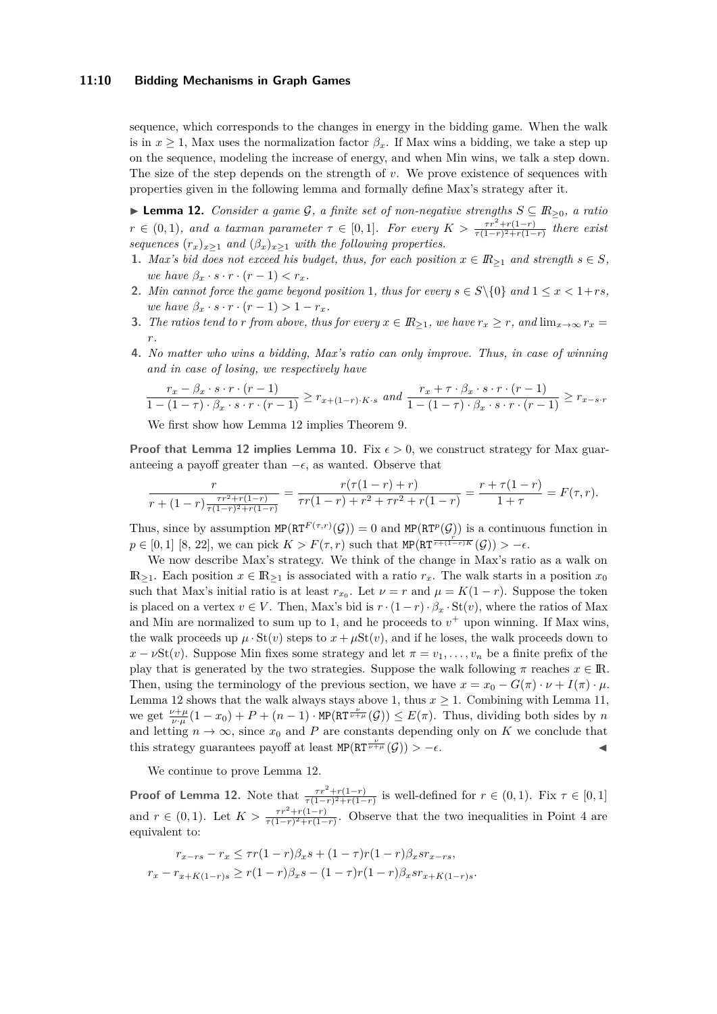### **11:10 Bidding Mechanisms in Graph Games**

sequence, which corresponds to the changes in energy in the bidding game. When the walk is in  $x \geq 1$ , Max uses the normalization factor  $\beta_x$ . If Max wins a bidding, we take a step up on the sequence, modeling the increase of energy, and when Min wins, we talk a step down. The size of the step depends on the strength of *v*. We prove existence of sequences with properties given in the following lemma and formally define Max's strategy after it.

<span id="page-9-0"></span>I **Lemma 12.** *Consider a game* G*, a finite set of non-negative strengths S* ⊆ *IR*≥0*, a ratio*  $r \in (0,1)$ , and a taxman parameter  $\tau \in [0,1]$ . For every  $K > \frac{\tau r^2 + r(1-r)}{\tau(1-r)^2 + r(1-r)}$  there exist *sequences*  $(r_x)_{x>1}$  *and*  $(\beta_x)_{x>1}$  *with the following properties.* 

- <span id="page-9-3"></span>**1.** *Max's bid does not exceed his budget, thus, for each position*  $x \in \mathbb{R}_{\geq 1}$  *and strength*  $s \in S$ *, we have*  $\beta_x \cdot s \cdot r \cdot (r-1) < r_x$ *.*
- <span id="page-9-4"></span>**2.** *Min cannot force the game beyond position* 1*, thus for every*  $s \in S \setminus \{0\}$  *and*  $1 \leq x \leq 1 + rs$ *, we have*  $\beta_x \cdot s \cdot r \cdot (r-1) > 1 - r_x$ .
- <span id="page-9-2"></span>**3.** *The ratios tend to r from above, thus for every*  $x \in \mathbb{R}_{\geq 1}$ , we have  $r_x \geq r$ , and  $\lim_{x\to\infty} r_x =$ *r.*
- <span id="page-9-1"></span>**4.** *No matter who wins a bidding, Max's ratio can only improve. Thus, in case of winning and in case of losing, we respectively have*

$$
\frac{r_x - \beta_x \cdot s \cdot r \cdot (r-1)}{1 - (1-\tau) \cdot \beta_x \cdot s \cdot r \cdot (r-1)} \ge r_{x+(1-r)\cdot K \cdot s} \text{ and } \frac{r_x + \tau \cdot \beta_x \cdot s \cdot r \cdot (r-1)}{1 - (1-\tau) \cdot \beta_x \cdot s \cdot r \cdot (r-1)} \ge r_{x-s}\cdot r
$$

We first show how Lemma [12](#page-9-0) implies Theorem [9.](#page-7-0)

**Proof that Lemma [12](#page-9-0) implies Lemma [10.](#page-7-1)** Fix  $\epsilon > 0$ , we construct strategy for Max guaranteeing a payoff greater than  $-\epsilon$ , as wanted. Observe that

$$
\frac{r}{r + (1-r)\frac{\tau r^2 + r(1-r)}{\tau (1-r)^2 + r(1-r)}} = \frac{r(\tau(1-r) + r)}{\tau r(1-r) + r^2 + \tau r^2 + r(1-r)} = \frac{r + \tau(1-r)}{1+r} = F(\tau, r).
$$

Thus, since by assumption  $MP(RT^{F(\tau,r)}(\mathcal{G})) = 0$  and  $MP(RT^{p}(\mathcal{G}))$  is a continuous function in  $p \in [0,1]$  [\[8,](#page-12-17) [22\]](#page-12-18), we can pick  $K > F(\tau,r)$  such that MP(RT  $\frac{r}{r+(1-r)K}(G)$ ) > - $\epsilon$ .

We now describe Max's strategy. We think of the change in Max's ratio as a walk on  $\mathbb{R}_{\geq 1}$ . Each position *x* ∈  $\mathbb{R}_{\geq 1}$  is associated with a ratio *r<sub>x</sub>*. The walk starts in a position *x*<sub>0</sub> such that Max's initial ratio is at least  $r_{x_0}$ . Let  $\nu = r$  and  $\mu = K(1 - r)$ . Suppose the token is placed on a vertex  $v \in V$ . Then, Max's bid is  $r \cdot (1 - r) \cdot \beta_x \cdot \text{St}(v)$ , where the ratios of Max and Min are normalized to sum up to 1, and he proceeds to  $v<sup>+</sup>$  upon winning. If Max wins, the walk proceeds up  $\mu \cdot St(v)$  steps to  $x + \mu St(v)$ , and if he loses, the walk proceeds down to  $x - \nu$ St(*v*). Suppose Min fixes some strategy and let  $\pi = v_1, \ldots, v_n$  be a finite prefix of the play that is generated by the two strategies. Suppose the walk following  $\pi$  reaches  $x \in \mathbb{R}$ . Then, using the terminology of the previous section, we have  $x = x_0 - G(\pi) \cdot \nu + I(\pi) \cdot \mu$ . Lemma [12](#page-9-0) shows that the walk always stays above 1, thus  $x \geq 1$ . Combining with Lemma [11,](#page-8-0) we get  $\frac{\nu+\mu}{\nu\cdot\mu}(1-x_0)+P+(n-1)\cdot\text{MP}(\text{RT}\frac{\nu}{\nu+\mu}(\mathcal{G}))\leq E(\pi)$ . Thus, dividing both sides by *n* and letting  $n \to \infty$ , since  $x_0$  and P are constants depending only on K we conclude that this strategy guarantees payoff at least  $MP(RT^{\frac{\nu}{\nu+\mu}}(\mathcal{G})) > -\epsilon$ .

We continue to prove Lemma [12.](#page-9-0)

**Proof of Lemma [12.](#page-9-0)** Note that  $\frac{\tau r^2 + r(1-r)}{\tau(1-r)^2 + r(1-r)}$  is well-defined for  $r \in (0,1)$ . Fix  $\tau \in [0,1]$ and  $r \in (0,1)$ . Let  $K > \frac{\tau r^2 + r(1-r)}{\tau(1-r)^2 + r(1-r)}$ . Observe that the two inequalities in Point [4](#page-9-1) are equivalent to:

$$
r_{x-rs} - r_x \le \tau r (1-r) \beta_x s + (1-\tau) r (1-r) \beta_x s r_{x-rs},
$$
  

$$
r_x - r_{x+K(1-r)s} \ge r (1-r) \beta_x s - (1-\tau) r (1-r) \beta_x s r_{x+K(1-r)s}.
$$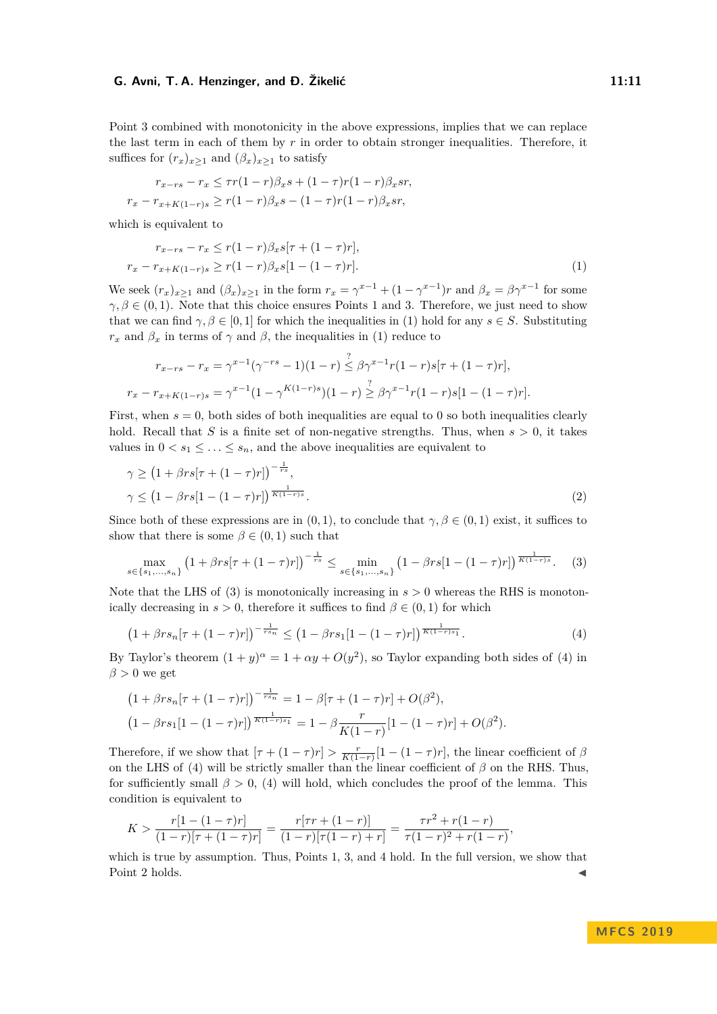Point [3](#page-9-2) combined with monotonicity in the above expressions, implies that we can replace the last term in each of them by *r* in order to obtain stronger inequalities. Therefore, it suffices for  $(r_x)_{x\geq 1}$  and  $(\beta_x)_{x\geq 1}$  to satisfy

$$
r_{x-rs} - r_x \le \tau r(1-r)\beta_x s + (1-\tau)r(1-r)\beta_x sr,
$$
  

$$
r_x - r_{x+K(1-r)s} \ge r(1-r)\beta_x s - (1-\tau)r(1-r)\beta_x sr,
$$

which is equivalent to

<span id="page-10-0"></span>
$$
r_{x-rs} - r_x \le r(1-r)\beta_x s[\tau + (1-\tau)r],
$$
  
\n
$$
r_x - r_{x+K(1-r)s} \ge r(1-r)\beta_x s[1-(1-\tau)r].
$$
\n(1)

We seek  $(r_x)_{x\geq 1}$  and  $(\beta_x)_{x\geq 1}$  in the form  $r_x = \gamma^{x-1} + (1 - \gamma^{x-1})r$  and  $\beta_x = \beta \gamma^{x-1}$  for some  $\gamma, \beta \in (0, 1)$  $\gamma, \beta \in (0, 1)$  $\gamma, \beta \in (0, 1)$ . Note that this choice ensures Points 1 and [3.](#page-9-2) Therefore, we just need to show that we can find  $\gamma, \beta \in [0, 1]$  for which the inequalities in [\(1\)](#page-10-0) hold for any  $s \in S$ . Substituting *r*<sub>*x*</sub> and  $\beta$ <sub>*x*</sub> in terms of  $\gamma$  and  $\beta$ , the inequalities in [\(1\)](#page-10-0) reduce to

$$
r_{x-rs} - r_x = \gamma^{x-1}(\gamma^{-rs} - 1)(1-r) \stackrel{?}{\leq} \beta \gamma^{x-1} r(1-r)s[\tau + (1-\tau)r],
$$
  

$$
r_x - r_{x+K(1-r)s} = \gamma^{x-1}(1-\gamma^{K(1-r)s})(1-r) \stackrel{?}{\geq} \beta \gamma^{x-1} r(1-r)s[1-(1-\tau)r].
$$

First, when  $s = 0$ , both sides of both inequalities are equal to 0 so both inequalities clearly hold. Recall that *S* is a finite set of non-negative strengths. Thus, when  $s > 0$ , it takes values in  $0 < s_1 \leq \ldots \leq s_n$ , and the above inequalities are equivalent to

$$
\gamma \ge \left(1 + \beta rs[\tau + (1 - \tau)r]\right)^{-\frac{1}{rs}},
$$
  

$$
\gamma \le \left(1 - \beta rs[1 - (1 - \tau)r]\right)^{\frac{1}{K(1 - r)s}}.
$$
\n(2)

Since both of these expressions are in  $(0,1)$ , to conclude that  $\gamma, \beta \in (0,1)$  exist, it suffices to show that there is some  $\beta \in (0,1)$  such that

<span id="page-10-1"></span>
$$
\max_{s \in \{s_1, \dots, s_n\}} \left(1 + \beta rs[\tau + (1 - \tau)r]\right)^{-\frac{1}{rs}} \le \min_{s \in \{s_1, \dots, s_n\}} \left(1 - \beta rs[1 - (1 - \tau)r]\right)^{\frac{1}{K(1 - r)s}}.\tag{3}
$$

Note that the LHS of [\(3\)](#page-10-1) is monotonically increasing in  $s > 0$  whereas the RHS is monotonically decreasing in  $s > 0$ , therefore it suffices to find  $\beta \in (0, 1)$  for which

<span id="page-10-2"></span>
$$
\left(1 + \beta rs_n[\tau + (1-\tau)r]\right)^{-\frac{1}{rs_n}} \le \left(1 - \beta rs_1[1-(1-\tau)r]\right)^{\frac{1}{K(1-r)s_1}}.\tag{4}
$$

By Taylor's theorem  $(1 + y)^{\alpha} = 1 + \alpha y + O(y^2)$ , so Taylor expanding both sides of [\(4\)](#page-10-2) in  $\beta > 0$  we get

$$
(1 + \beta rs_n[\tau + (1 - \tau)r])^{-\frac{1}{rs_n}} = 1 - \beta[\tau + (1 - \tau)r] + O(\beta^2),
$$
  

$$
(1 - \beta rs_1[1 - (1 - \tau)r])^{\frac{1}{K(1 - r)s_1}} = 1 - \beta \frac{r}{K(1 - r)}[1 - (1 - \tau)r] + O(\beta^2).
$$

Therefore, if we show that  $[\tau + (1 - \tau)r] > \frac{r}{K(1-r)}[1 - (1 - \tau)r]$ , the linear coefficient of  $\beta$ on the LHS of [\(4\)](#page-10-2) will be strictly smaller than the linear coefficient of  $\beta$  on the RHS. Thus, for sufficiently small  $\beta > 0$ , [\(4\)](#page-10-2) will hold, which concludes the proof of the lemma. This condition is equivalent to

$$
K > \frac{r[1 - (1 - \tau)r]}{(1 - r)[\tau + (1 - \tau)r]} = \frac{r[\tau r + (1 - r)]}{(1 - r)[\tau(1 - r) + r]} = \frac{\tau r^2 + r(1 - r)}{\tau(1 - r)^2 + r(1 - r)},
$$

which is true by assumption. Thus, Points [1,](#page-9-3) [3,](#page-9-2) and [4](#page-9-1) hold. In the full version, we show that Point [2](#page-9-4) holds.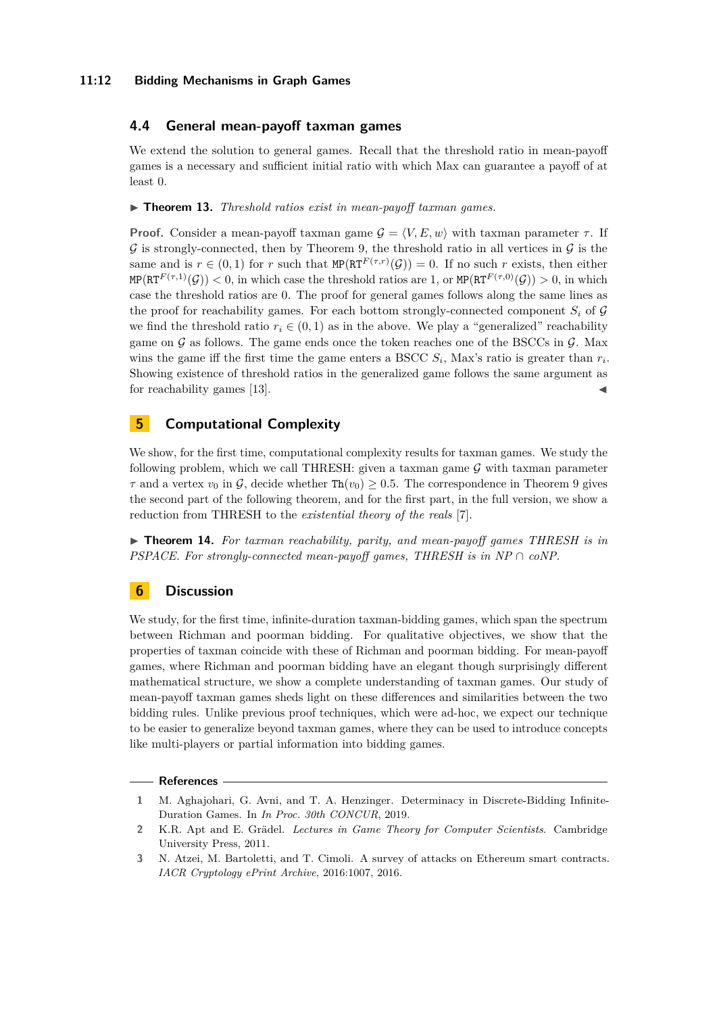## **11:12 Bidding Mechanisms in Graph Games**

## **4.4 General mean-payoff taxman games**

We extend the solution to general games. Recall that the threshold ratio in mean-payoff games is a necessary and sufficient initial ratio with which Max can guarantee a payoff of at least 0.

▶ **Theorem 13.** *Threshold ratios exist in mean-payoff taxman games.* 

**Proof.** Consider a mean-payoff taxman game  $G = \langle V, E, w \rangle$  with taxman parameter  $\tau$ . If  $\mathcal G$  is strongly-connected, then by Theorem [9,](#page-7-0) the threshold ratio in all vertices in  $\mathcal G$  is the same and is  $r \in (0,1)$  for r such that  $MP(RT^{F(\tau,r)}(\mathcal{G})) = 0$ . If no such r exists, then either  $MP(RT^{F(\tau,1)}(\mathcal{G})) < 0$ , in which case the threshold ratios are 1, or  $MP(RT^{F(\tau,0)}(\mathcal{G})) > 0$ , in which case the threshold ratios are 0. The proof for general games follows along the same lines as the proof for reachability games. For each bottom strongly-connected component  $S_i$  of  $\mathcal G$ we find the threshold ratio  $r_i \in (0,1)$  as in the above. We play a "generalized" reachability game on  $\mathcal G$  as follows. The game ends once the token reaches one of the BSCCs in  $\mathcal G$ . Max wins the game iff the first time the game enters a BSCC  $S_i$ , Max's ratio is greater than  $r_i$ . Showing existence of threshold ratios in the generalized game follows the same argument as for reachability games [\[13\]](#page-12-3).

# **5 Computational Complexity**

We show, for the first time, computational complexity results for taxman games. We study the following problem, which we call THRESH: given a taxman game  $G$  with taxman parameter  $\tau$  and a vertex  $v_0$  in  $\mathcal{G}$ , decide whether  $\text{Th}(v_0) \geq 0.5$ . The correspondence in Theorem [9](#page-7-0) gives the second part of the following theorem, and for the first part, in the full version, we show a reduction from THRESH to the *existential theory of the reals* [\[7\]](#page-12-19).

▶ **Theorem 14.** *For taxman reachability, parity, and mean-payoff games THRESH is in PSPACE. For strongly-connected mean-payoff games, THRESH is in NP* ∩ *coNP.* 

# **6 Discussion**

We study, for the first time, infinite-duration taxman-bidding games, which span the spectrum between Richman and poorman bidding. For qualitative objectives, we show that the properties of taxman coincide with these of Richman and poorman bidding. For mean-payoff games, where Richman and poorman bidding have an elegant though surprisingly different mathematical structure, we show a complete understanding of taxman games. Our study of mean-payoff taxman games sheds light on these differences and similarities between the two bidding rules. Unlike previous proof techniques, which were ad-hoc, we expect our technique to be easier to generalize beyond taxman games, where they can be used to introduce concepts like multi-players or partial information into bidding games.

#### **References**

<span id="page-11-2"></span>**<sup>1</sup>** M. Aghajohari, G. Avni, and T. A. Henzinger. Determinacy in Discrete-Bidding Infinite-Duration Games. In *In Proc. 30th CONCUR*, 2019.

<span id="page-11-0"></span>**<sup>2</sup>** K.R. Apt and E. Grädel. *Lectures in Game Theory for Computer Scientists*. Cambridge University Press, 2011.

<span id="page-11-1"></span>**<sup>3</sup>** N. Atzei, M. Bartoletti, and T. Cimoli. A survey of attacks on Ethereum smart contracts. *IACR Cryptology ePrint Archive*, 2016:1007, 2016.